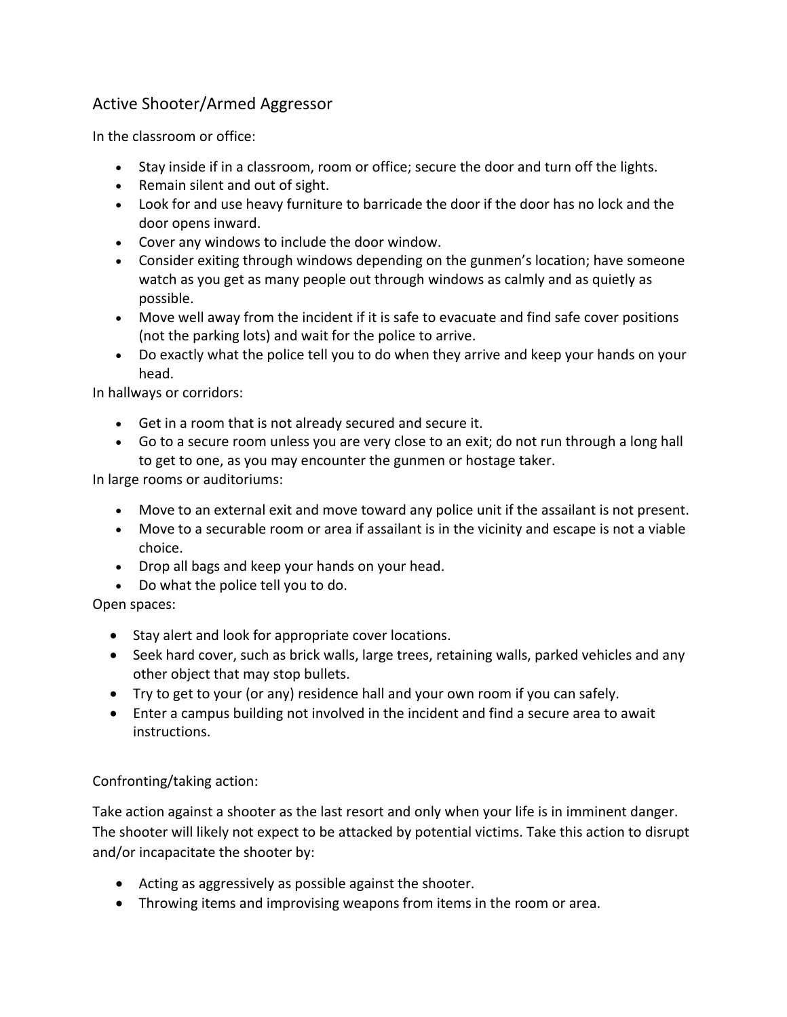## Active Shooter/Armed Aggressor

In the classroom or office:

- Stay inside if in a classroom, room or office; secure the door and turn off the lights.
- Remain silent and out of sight.
- Look for and use heavy furniture to barricade the door if the door has no lock and the door opens inward.
- Cover any windows to include the door window.
- Consider exiting through windows depending on the gunmen's location; have someone watch as you get as many people out through windows as calmly and as quietly as possible.
- Move well away from the incident if it is safe to evacuate and find safe cover positions (not the parking lots) and wait for the police to arrive.
- Do exactly what the police tell you to do when they arrive and keep your hands on your head.

In hallways or corridors:

- Get in a room that is not already secured and secure it.
- Go to a secure room unless you are very close to an exit; do not run through a long hall to get to one, as you may encounter the gunmen or hostage taker.

In large rooms or auditoriums:

- Move to an external exit and move toward any police unit if the assailant is not present.
- Move to a securable room or area if assailant is in the vicinity and escape is not a viable choice.
- Drop all bags and keep your hands on your head.
- Do what the police tell you to do.

Open spaces:

- Stay alert and look for appropriate cover locations.
- Seek hard cover, such as brick walls, large trees, retaining walls, parked vehicles and any other object that may stop bullets.
- Try to get to your (or any) residence hall and your own room if you can safely.
- Enter a campus building not involved in the incident and find a secure area to await instructions.

## Confronting/taking action:

Take action against a shooter as the last resort and only when your life is in imminent danger. The shooter will likely not expect to be attacked by potential victims. Take this action to disrupt and/or incapacitate the shooter by:

- Acting as aggressively as possible against the shooter.
- Throwing items and improvising weapons from items in the room or area.